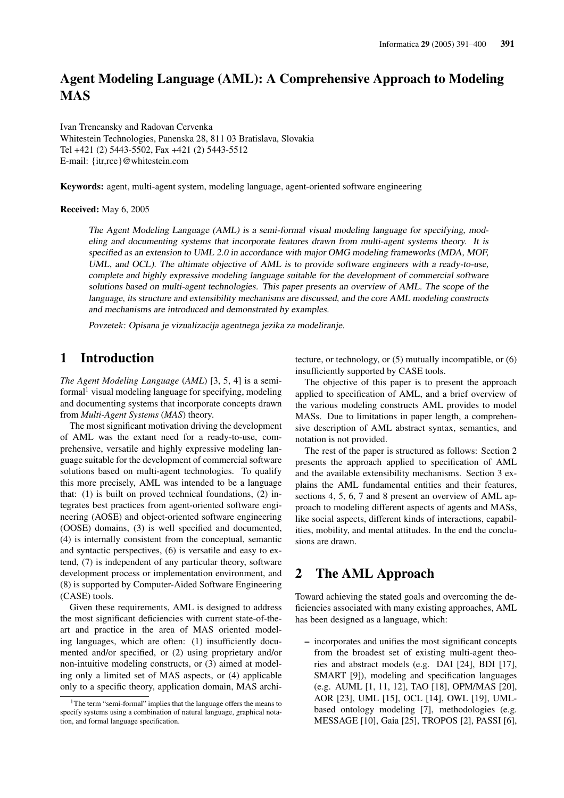# Agent Modeling Language (AML): A Comprehensive Approach to Modeling MAS

Ivan Trencansky and Radovan Cervenka Whitestein Technologies, Panenska 28, 811 03 Bratislava, Slovakia Tel +421 (2) 5443-5502, Fax +421 (2) 5443-5512 E-mail: {itr,rce}@whitestein.com

Keywords: agent, multi-agent system, modeling language, agent-oriented software engineering

#### Received: May 6, 2005

The Agent Modeling Language (AML) is a semi-formal visual modeling language for specifying, modeling and documenting systems that incorporate features drawn from multi-agent systems theory. It is specified as an extension to UML 2.0 in accordance with major OMG modeling frameworks (MDA, MOF, UML, and OCL). The ultimate objective of AML is to provide software engineers with <sup>a</sup> ready-to-use, complete and highly expressive modeling language suitable for the development of commercial software solutions based on multi-agent technologies. This paper presents an overview of AML. The scope of the language, its structure and extensibility mechanisms are discussed, and the core AML modeling constructs and mechanisms are introduced and demonstrated by examples.

Povzetek: Opisana je vizualizacija agentnega jezika za modeliranje.

### 1 Introduction

*The Agent Modeling Language* (*AML*) [3, 5, 4] is a semiformal<sup>1</sup> visual modeling language for specifying, modeling and documenting systems that incorporate concepts drawn from *Multi-Agent Systems* (*MAS*) theory.

The most significant motivation driving the development of AML was the extant need for a ready-to-use, comprehensive, versatile and highly expressive modeling language suitable for the development of commercial software solutions based on multi-agent technologies. To qualify this more precisely, AML was intended to be a language that: (1) is built on proved technical foundations, (2) integrates best practices from agent-oriented software engineering (AOSE) and object-oriented software engineering (OOSE) domains, (3) is well specified and documented, (4) is internally consistent from the conceptual, semantic and syntactic perspectives, (6) is versatile and easy to extend, (7) is independent of any particular theory, software development process or implementation environment, and (8) is supported by Computer-Aided Software Engineering (CASE) tools.

Given these requirements, AML is designed to address the most significant deficiencies with current state-of-theart and practice in the area of MAS oriented modeling languages, which are often: (1) insufficiently documented and/or specified, or (2) using proprietary and/or non-intuitive modeling constructs, or (3) aimed at modeling only a limited set of MAS aspects, or (4) applicable only to a specific theory, application domain, MAS architecture, or technology, or (5) mutually incompatible, or (6) insufficiently supported by CASE tools.

The objective of this paper is to present the approach applied to specification of AML, and a brief overview of the various modeling constructs AML provides to model MASs. Due to limitations in paper length, a comprehensive description of AML abstract syntax, semantics, and notation is not provided.

The rest of the paper is structured as follows: Section 2 presents the approach applied to specification of AML and the available extensibility mechanisms. Section 3 explains the AML fundamental entities and their features, sections 4, 5, 6, 7 and 8 present an overview of AML approach to modeling different aspects of agents and MASs, like social aspects, different kinds of interactions, capabilities, mobility, and mental attitudes. In the end the conclusions are drawn.

### 2 The AML Approach

Toward achieving the stated goals and overcoming the deficiencies associated with many existing approaches, AML has been designed as a language, which:

– incorporates and unifies the most significant concepts from the broadest set of existing multi-agent theories and abstract models (e.g. DAI [24], BDI [17], SMART [9]), modeling and specification languages (e.g. AUML [1, 11, 12], TAO [18], OPM/MAS [20], AOR [23], UML [15], OCL [14], OWL [19], UMLbased ontology modeling [7], methodologies (e.g. MESSAGE [10], Gaia [25], TROPOS [2], PASSI [6],

<sup>&</sup>lt;sup>1</sup>The term "semi-formal" implies that the language offers the means to specify systems using a combination of natural language, graphical notation, and formal language specification.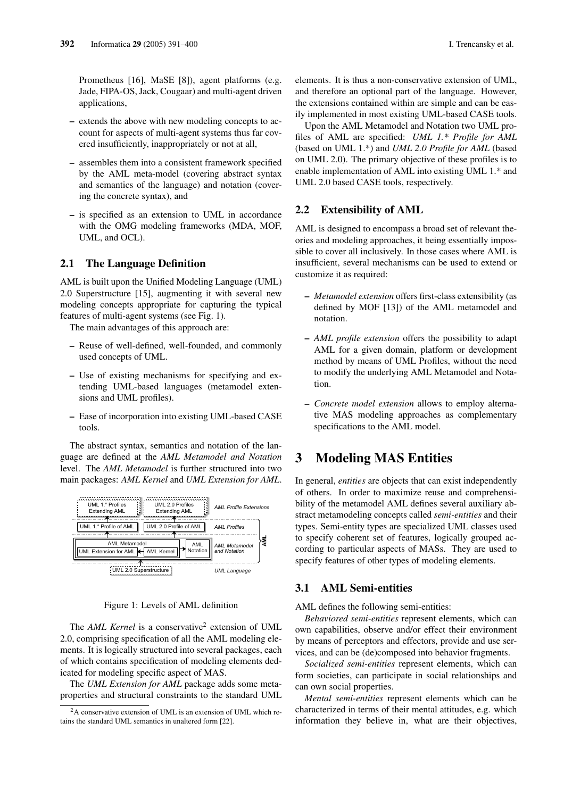Prometheus [16], MaSE [8]), agent platforms (e.g. Jade, FIPA-OS, Jack, Cougaar) and multi-agent driven applications,

- extends the above with new modeling concepts to account for aspects of multi-agent systems thus far covered insufficiently, inappropriately or not at all,
- assembles them into a consistent framework specified by the AML meta-model (covering abstract syntax and semantics of the language) and notation (covering the concrete syntax), and
- is specified as an extension to UML in accordance with the OMG modeling frameworks (MDA, MOF, UML, and OCL).

### 2.1 The Language Definition

AML is built upon the Unified Modeling Language (UML) 2.0 Superstructure [15], augmenting it with several new modeling concepts appropriate for capturing the typical features of multi-agent systems (see Fig. 1).

The main advantages of this approach are:

- Reuse of well-defined, well-founded, and commonly used concepts of UML.
- Use of existing mechanisms for specifying and extending UML-based languages (metamodel extensions and UML profiles).
- Ease of incorporation into existing UML-based CASE tools.

The abstract syntax, semantics and notation of the language are defined at the *AML Metamodel and Notation* level. The *AML Metamodel* is further structured into two main packages: *AML Kernel* and *UML Extension for AML*.



Figure 1: Levels of AML definition

The *AML Kernel* is a conservative<sup>2</sup> extension of UML 2.0, comprising specification of all the AML modeling elements. It is logically structured into several packages, each of which contains specification of modeling elements dedicated for modeling specific aspect of MAS.

The *UML Extension for AML* package adds some metaproperties and structural constraints to the standard UML elements. It is thus a non-conservative extension of UML, and therefore an optional part of the language. However, the extensions contained within are simple and can be easily implemented in most existing UML-based CASE tools.

Upon the AML Metamodel and Notation two UML profiles of AML are specified: *UML 1.\* Profile for AML* (based on UML 1.\*) and *UML 2.0 Profile for AML* (based on UML 2.0). The primary objective of these profiles is to enable implementation of AML into existing UML 1.\* and UML 2.0 based CASE tools, respectively.

#### 2.2 Extensibility of AML

AML is designed to encompass a broad set of relevant theories and modeling approaches, it being essentially impossible to cover all inclusively. In those cases where AML is insufficient, several mechanisms can be used to extend or customize it as required:

- *Metamodel extension* offers first-class extensibility (as defined by MOF [13]) of the AML metamodel and notation.
- *AML profile extension* offers the possibility to adapt AML for a given domain, platform or development method by means of UML Profiles, without the need to modify the underlying AML Metamodel and Notation.
- *Concrete model extension* allows to employ alternative MAS modeling approaches as complementary specifications to the AML model.

## 3 Modeling MAS Entities

In general, *entities* are objects that can exist independently of others. In order to maximize reuse and comprehensibility of the metamodel AML defines several auxiliary abstract metamodeling concepts called *semi-entities* and their types. Semi-entity types are specialized UML classes used to specify coherent set of features, logically grouped according to particular aspects of MASs. They are used to specify features of other types of modeling elements.

### 3.1 AML Semi-entities

AML defines the following semi-entities:

*Behaviored semi-entities* represent elements, which can own capabilities, observe and/or effect their environment by means of perceptors and effectors, provide and use services, and can be (de)composed into behavior fragments.

*Socialized semi-entities* represent elements, which can form societies, can participate in social relationships and can own social properties.

*Mental semi-entities* represent elements which can be characterized in terms of their mental attitudes, e.g. which information they believe in, what are their objectives,

<sup>2</sup>A conservative extension of UML is an extension of UML which retains the standard UML semantics in unaltered form [22].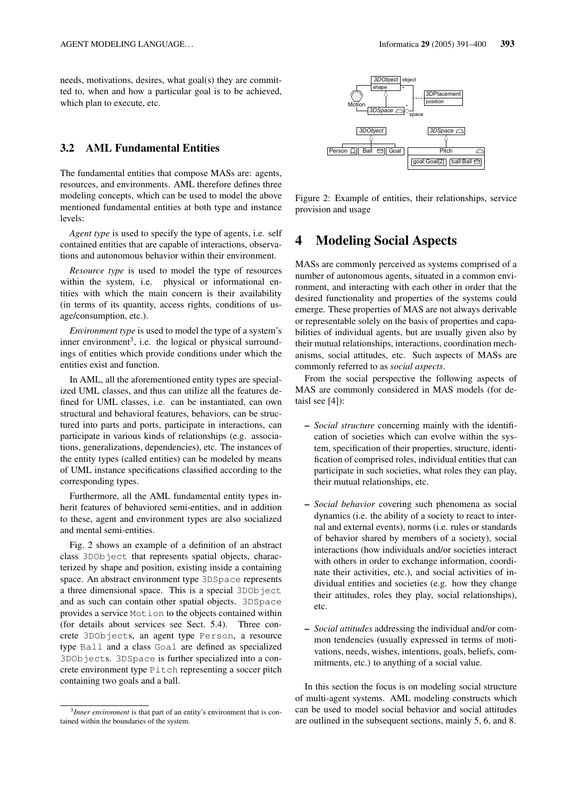needs, motivations, desires, what goal(s) they are committed to, when and how a particular goal is to be achieved, which plan to execute, etc.

### 3.2 AML Fundamental Entities

The fundamental entities that compose MASs are: agents, resources, and environments. AML therefore defines three modeling concepts, which can be used to model the above mentioned fundamental entities at both type and instance levels:

*Agent type* is used to specify the type of agents, i.e. self contained entities that are capable of interactions, observations and autonomous behavior within their environment.

*Resource type* is used to model the type of resources within the system, i.e. physical or informational entities with which the main concern is their availability (in terms of its quantity, access rights, conditions of usage/consumption, etc.).

*Environment type* is used to model the type of a system's inner environment<sup>3</sup>, i.e. the logical or physical surroundings of entities which provide conditions under which the entities exist and function.

In AML, all the aforementioned entity types are specialized UML classes, and thus can utilize all the features defined for UML classes, i.e. can be instantiated, can own structural and behavioral features, behaviors, can be structured into parts and ports, participate in interactions, can participate in various kinds of relationships (e.g. associations, generalizations, dependencies), etc. The instances of the entity types (called entities) can be modeled by means of UML instance specifications classified according to the corresponding types.

Furthermore, all the AML fundamental entity types inherit features of behaviored semi-entities, and in addition to these, agent and environment types are also socialized and mental semi-entities.

Fig. 2 shows an example of a definition of an abstract class 3DObject that represents spatial objects, characterized by shape and position, existing inside a containing space. An abstract environment type 3DSpace represents a three dimensional space. This is a special 3DObject and as such can contain other spatial objects. 3DSpace provides a service Motion to the objects contained within (for details about services see Sect. 5.4). Three concrete 3DObjects, an agent type Person, a resource type Ball and a class Goal are defined as specialized 3DObjects. 3DSpace is further specialized into a concrete environment type Pitch representing a soccer pitch containing two goals and a ball.



Figure 2: Example of entities, their relationships, service provision and usage

# 4 Modeling Social Aspects

MASs are commonly perceived as systems comprised of a number of autonomous agents, situated in a common environment, and interacting with each other in order that the desired functionality and properties of the systems could emerge. These properties of MAS are not always derivable or representable solely on the basis of properties and capabilities of individual agents, but are usually given also by their mutual relationships, interactions, coordination mechanisms, social attitudes, etc. Such aspects of MASs are commonly referred to as *social aspects*.

From the social perspective the following aspects of MAS are commonly considered in MAS models (for detaisl see [4]):

- *Social structure* concerning mainly with the identification of societies which can evolve within the system, specification of their properties, structure, identification of comprised roles, individual entities that can participate in such societies, what roles they can play, their mutual relationships, etc.
- *Social behavior* covering such phenomena as social dynamics (i.e. the ability of a society to react to internal and external events), norms (i.e. rules or standards of behavior shared by members of a society), social interactions (how individuals and/or societies interact with others in order to exchange information, coordinate their activities, etc.), and social activities of individual entities and societies (e.g. how they change their attitudes, roles they play, social relationships), etc.
- *Social attitudes* addressing the individual and/or common tendencies (usually expressed in terms of motivations, needs, wishes, intentions, goals, beliefs, commitments, etc.) to anything of a social value.

In this section the focus is on modeling social structure of multi-agent systems. AML modeling constructs which can be used to model social behavior and social attitudes are outlined in the subsequent sections, mainly 5, 6, and 8.

<sup>&</sup>lt;sup>3</sup> Inner environment is that part of an entity's environment that is contained within the boundaries of the system.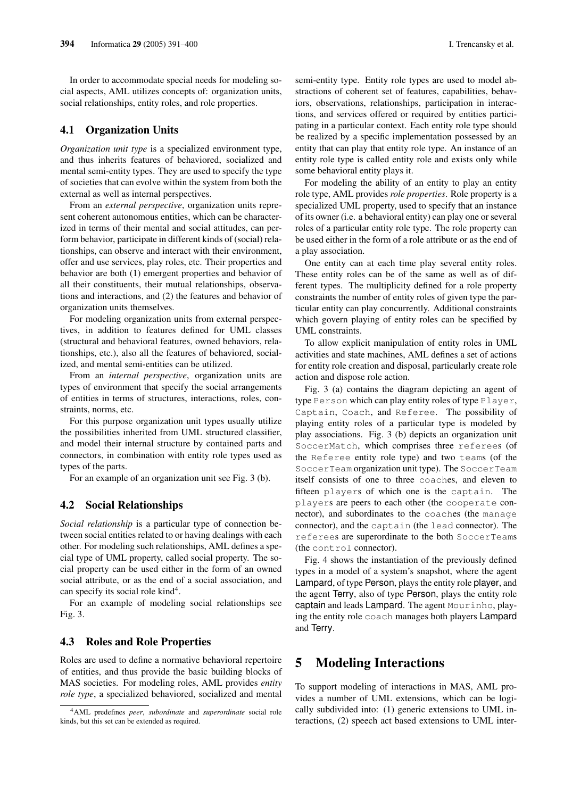In order to accommodate special needs for modeling social aspects, AML utilizes concepts of: organization units, social relationships, entity roles, and role properties.

### 4.1 Organization Units

*Organization unit type* is a specialized environment type, and thus inherits features of behaviored, socialized and mental semi-entity types. They are used to specify the type of societies that can evolve within the system from both the external as well as internal perspectives.

From an *external perspective*, organization units represent coherent autonomous entities, which can be characterized in terms of their mental and social attitudes, can perform behavior, participate in different kinds of (social) relationships, can observe and interact with their environment, offer and use services, play roles, etc. Their properties and behavior are both (1) emergent properties and behavior of all their constituents, their mutual relationships, observations and interactions, and (2) the features and behavior of organization units themselves.

For modeling organization units from external perspectives, in addition to features defined for UML classes (structural and behavioral features, owned behaviors, relationships, etc.), also all the features of behaviored, socialized, and mental semi-entities can be utilized.

From an *internal perspective*, organization units are types of environment that specify the social arrangements of entities in terms of structures, interactions, roles, constraints, norms, etc.

For this purpose organization unit types usually utilize the possibilities inherited from UML structured classifier, and model their internal structure by contained parts and connectors, in combination with entity role types used as types of the parts.

For an example of an organization unit see Fig. 3 (b).

#### 4.2 Social Relationships

*Social relationship* is a particular type of connection between social entities related to or having dealings with each other. For modeling such relationships, AML defines a special type of UML property, called social property. The social property can be used either in the form of an owned social attribute, or as the end of a social association, and can specify its social role kind<sup>4</sup>.

For an example of modeling social relationships see Fig. 3.

#### 4.3 Roles and Role Properties

Roles are used to define a normative behavioral repertoire of entities, and thus provide the basic building blocks of MAS societies. For modeling roles, AML provides *entity role type*, a specialized behaviored, socialized and mental semi-entity type. Entity role types are used to model abstractions of coherent set of features, capabilities, behaviors, observations, relationships, participation in interactions, and services offered or required by entities participating in a particular context. Each entity role type should be realized by a specific implementation possessed by an entity that can play that entity role type. An instance of an entity role type is called entity role and exists only while some behavioral entity plays it.

For modeling the ability of an entity to play an entity role type, AML provides *role properties*. Role property is a specialized UML property, used to specify that an instance of its owner (i.e. a behavioral entity) can play one or several roles of a particular entity role type. The role property can be used either in the form of a role attribute or as the end of a play association.

One entity can at each time play several entity roles. These entity roles can be of the same as well as of different types. The multiplicity defined for a role property constraints the number of entity roles of given type the particular entity can play concurrently. Additional constraints which govern playing of entity roles can be specified by UML constraints.

To allow explicit manipulation of entity roles in UML activities and state machines, AML defines a set of actions for entity role creation and disposal, particularly create role action and dispose role action.

Fig. 3 (a) contains the diagram depicting an agent of type Person which can play entity roles of type Player, Captain, Coach, and Referee. The possibility of playing entity roles of a particular type is modeled by play associations. Fig. 3 (b) depicts an organization unit SoccerMatch, which comprises three referees (of the Referee entity role type) and two teams (of the SoccerTeam organization unit type). The SoccerTeam itself consists of one to three coaches, and eleven to fifteen players of which one is the captain. The players are peers to each other (the cooperate connector), and subordinates to the coaches (the manage connector), and the captain (the lead connector). The referees are superordinate to the both SoccerTeams (the control connector).

Fig. 4 shows the instantiation of the previously defined types in a model of a system's snapshot, where the agent Lampard, of type Person, plays the entity role player, and the agent Terry, also of type Person, plays the entity role captain and leads Lampard. The agent Mourinho, playing the entity role coach manages both players Lampard and Terry.

### 5 Modeling Interactions

To support modeling of interactions in MAS, AML provides a number of UML extensions, which can be logically subdivided into: (1) generic extensions to UML interactions, (2) speech act based extensions to UML inter-

<sup>4</sup>AML predefines *peer*, *subordinate* and *superordinate* social role kinds, but this set can be extended as required.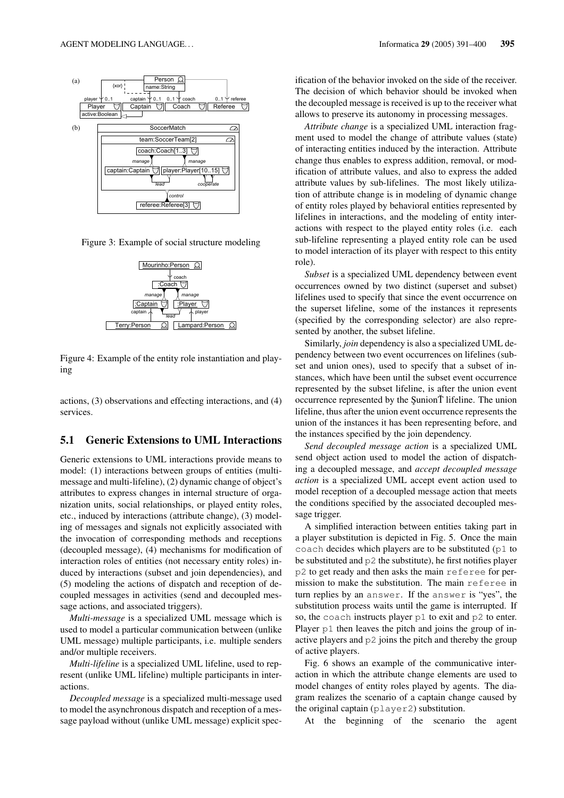

Figure 3: Example of social structure modeling



Figure 4: Example of the entity role instantiation and playing

actions, (3) observations and effecting interactions, and (4) services.

#### 5.1 Generic Extensions to UML Interactions

Generic extensions to UML interactions provide means to model: (1) interactions between groups of entities (multimessage and multi-lifeline), (2) dynamic change of object's attributes to express changes in internal structure of organization units, social relationships, or played entity roles, etc., induced by interactions (attribute change), (3) modeling of messages and signals not explicitly associated with the invocation of corresponding methods and receptions (decoupled message), (4) mechanisms for modification of interaction roles of entities (not necessary entity roles) induced by interactions (subset and join dependencies), and (5) modeling the actions of dispatch and reception of decoupled messages in activities (send and decoupled message actions, and associated triggers).

*Multi-message* is a specialized UML message which is used to model a particular communication between (unlike UML message) multiple participants, i.e. multiple senders and/or multiple receivers.

*Multi-lifeline* is a specialized UML lifeline, used to represent (unlike UML lifeline) multiple participants in interactions.

*Decoupled message* is a specialized multi-message used to model the asynchronous dispatch and reception of a message payload without (unlike UML message) explicit specification of the behavior invoked on the side of the receiver. The decision of which behavior should be invoked when the decoupled message is received is up to the receiver what allows to preserve its autonomy in processing messages.

*Attribute change* is a specialized UML interaction fragment used to model the change of attribute values (state) of interacting entities induced by the interaction. Attribute change thus enables to express addition, removal, or modification of attribute values, and also to express the added attribute values by sub-lifelines. The most likely utilization of attribute change is in modeling of dynamic change of entity roles played by behavioral entities represented by lifelines in interactions, and the modeling of entity interactions with respect to the played entity roles (i.e. each sub-lifeline representing a played entity role can be used to model interaction of its player with respect to this entity role).

*Subset* is a specialized UML dependency between event occurrences owned by two distinct (superset and subset) lifelines used to specify that since the event occurrence on the superset lifeline, some of the instances it represents (specified by the corresponding selector) are also represented by another, the subset lifeline.

Similarly, *join* dependency is also a specialized UML dependency between two event occurrences on lifelines (subset and union ones), used to specify that a subset of instances, which have been until the subset event occurrence represented by the subset lifeline, is after the union event occurrence represented by the SunionT lifeline. The union lifeline, thus after the union event occurrence represents the union of the instances it has been representing before, and the instances specified by the join dependency.

*Send decoupled message action* is a specialized UML send object action used to model the action of dispatching a decoupled message, and *accept decoupled message action* is a specialized UML accept event action used to model reception of a decoupled message action that meets the conditions specified by the associated decoupled message trigger.

A simplified interaction between entities taking part in a player substitution is depicted in Fig. 5. Once the main coach decides which players are to be substituted (p1 to be substituted and  $p2$  the substitute), he first notifies player p2 to get ready and then asks the main referee for permission to make the substitution. The main referee in turn replies by an answer. If the answer is "yes", the substitution process waits until the game is interrupted. If so, the coach instructs player p1 to exit and p2 to enter. Player  $p1$  then leaves the pitch and joins the group of inactive players and p2 joins the pitch and thereby the group of active players.

Fig. 6 shows an example of the communicative interaction in which the attribute change elements are used to model changes of entity roles played by agents. The diagram realizes the scenario of a captain change caused by the original captain (player2) substitution.

At the beginning of the scenario the agent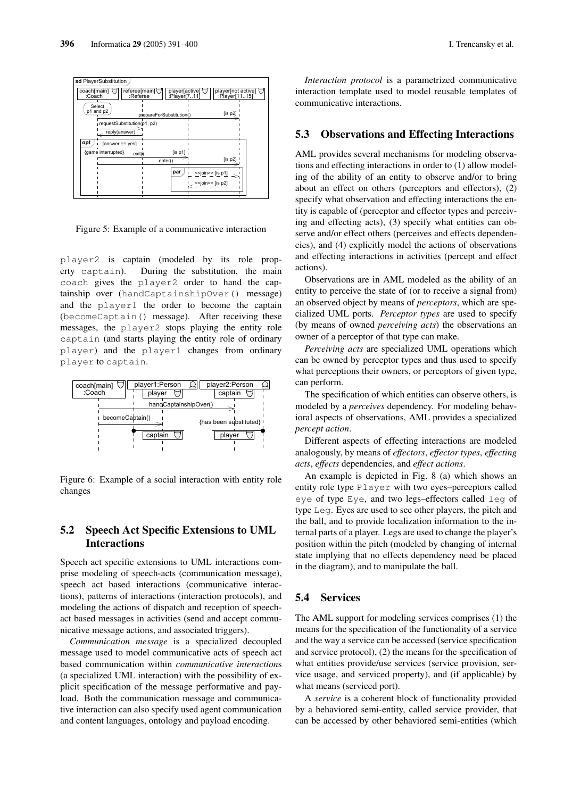| sd PlayerSubstitution                                                                                                       |
|-----------------------------------------------------------------------------------------------------------------------------|
| coach[main]<br>referee[main]<br>player[active]<br>player[not active]<br>:Player[1115]<br>:Player[711]<br>:Coach<br>:Referee |
| Select<br>p1 and p2<br>$[$ is p $2]$<br>prepareForSubstitution()                                                            |
| requestSubstitution(p1, p2)                                                                                                 |
| reply(answer)                                                                                                               |
| opt<br>$[answer == yes]$                                                                                                    |
| {game interrupted}<br>[is $p1$ ]<br>exit()                                                                                  |
| $[$ is p $2]$<br>enter()                                                                                                    |
| par<br><< join>> [is p1]                                                                                                    |
| << join>> [is p2]                                                                                                           |
|                                                                                                                             |

Figure 5: Example of a communicative interaction

player2 is captain (modeled by its role property captain). During the substitution, the main coach gives the player2 order to hand the captainship over (handCaptainshipOver() message) and the player1 the order to become the captain (becomeCaptain() message). After receiving these messages, the player2 stops playing the entity role captain (and starts playing the entity role of ordinary player) and the player1 changes from ordinary player to captain.



Figure 6: Example of a social interaction with entity role changes

### 5.2 Speech Act Specific Extensions to UML Interactions

Speech act specific extensions to UML interactions comprise modeling of speech-acts (communication message), speech act based interactions (communicative interactions), patterns of interactions (interaction protocols), and modeling the actions of dispatch and reception of speechact based messages in activities (send and accept communicative message actions, and associated triggers).

*Communication message* is a specialized decoupled message used to model communicative acts of speech act based communication within *communicative interaction*s (a specialized UML interaction) with the possibility of explicit specification of the message performative and payload. Both the communication message and communicative interaction can also specify used agent communication and content languages, ontology and payload encoding.

*Interaction protocol* is a parametrized communicative interaction template used to model reusable templates of communicative interactions.

#### 5.3 Observations and Effecting Interactions

AML provides several mechanisms for modeling observations and effecting interactions in order to (1) allow modeling of the ability of an entity to observe and/or to bring about an effect on others (perceptors and effectors), (2) specify what observation and effecting interactions the entity is capable of (perceptor and effector types and perceiving and effecting acts), (3) specify what entities can observe and/or effect others (perceives and effects dependencies), and (4) explicitly model the actions of observations and effecting interactions in activities (percept and effect actions).

Observations are in AML modeled as the ability of an entity to perceive the state of (or to receive a signal from) an observed object by means of *perceptors*, which are specialized UML ports. *Perceptor types* are used to specify (by means of owned *perceiving acts*) the observations an owner of a perceptor of that type can make.

*Perceiving acts* are specialized UML operations which can be owned by perceptor types and thus used to specify what perceptions their owners, or perceptors of given type, can perform.

The specification of which entities can observe others, is modeled by a *perceives* dependency. For modeling behavioral aspects of observations, AML provides a specialized *percept action*.

Different aspects of effecting interactions are modeled analogously, by means of *effectors*, *effector types*, *effecting acts*, *effects* dependencies, and *effect actions*.

An example is depicted in Fig. 8 (a) which shows an entity role type Player with two eyes–perceptors called eye of type Eye, and two legs–effectors called leg of type Leg. Eyes are used to see other players, the pitch and the ball, and to provide localization information to the internal parts of a player. Legs are used to change the player's position within the pitch (modeled by changing of internal state implying that no effects dependency need be placed in the diagram), and to manipulate the ball.

#### 5.4 Services

The AML support for modeling services comprises (1) the means for the specification of the functionality of a service and the way a service can be accessed (service specification and service protocol), (2) the means for the specification of what entities provide/use services (service provision, service usage, and serviced property), and (if applicable) by what means (serviced port).

A *service* is a coherent block of functionality provided by a behaviored semi-entity, called service provider, that can be accessed by other behaviored semi-entities (which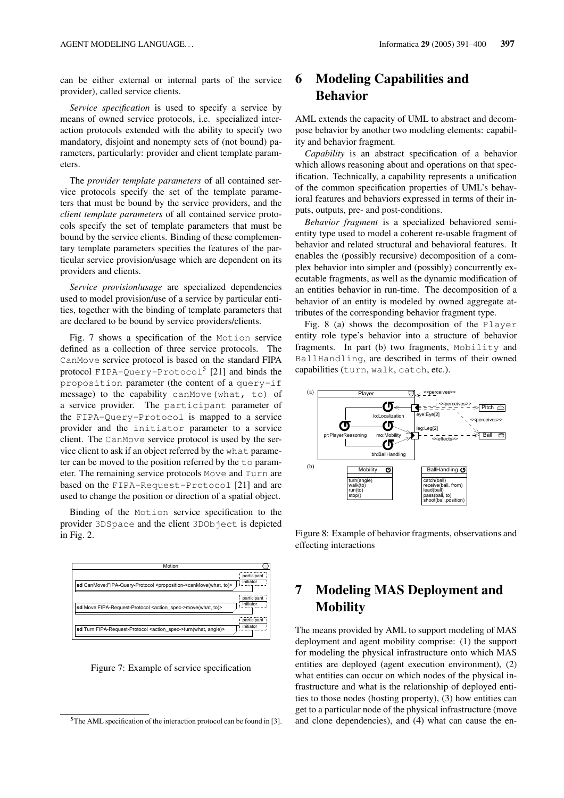can be either external or internal parts of the service provider), called service clients.

*Service specification* is used to specify a service by means of owned service protocols, i.e. specialized interaction protocols extended with the ability to specify two mandatory, disjoint and nonempty sets of (not bound) parameters, particularly: provider and client template parameters.

The *provider template parameters* of all contained service protocols specify the set of the template parameters that must be bound by the service providers, and the *client template parameters* of all contained service protocols specify the set of template parameters that must be bound by the service clients. Binding of these complementary template parameters specifies the features of the particular service provision/usage which are dependent on its providers and clients.

*Service provision*/*usage* are specialized dependencies used to model provision/use of a service by particular entities, together with the binding of template parameters that are declared to be bound by service providers/clients.

Fig. 7 shows a specification of the Motion service defined as a collection of three service protocols. The CanMove service protocol is based on the standard FIPA protocol FIPA-Query-Protocol<sup>5</sup> [21] and binds the proposition parameter (the content of a query-if message) to the capability canMove(what, to) of a service provider. The participant parameter of the FIPA-Query-Protocol is mapped to a service provider and the initiator parameter to a service client. The CanMove service protocol is used by the service client to ask if an object referred by the what parameter can be moved to the position referred by the to parameter. The remaining service protocols Move and Turn are based on the FIPA-Request-Protocol [21] and are used to change the position or direction of a spatial object.

Binding of the Motion service specification to the provider 3DSpace and the client 3DObject is depicted in Fig. 2.



Figure 7: Example of service specification

# 6 Modeling Capabilities and Behavior

AML extends the capacity of UML to abstract and decompose behavior by another two modeling elements: capability and behavior fragment.

*Capability* is an abstract specification of a behavior which allows reasoning about and operations on that specification. Technically, a capability represents a unification of the common specification properties of UML's behavioral features and behaviors expressed in terms of their inputs, outputs, pre- and post-conditions.

*Behavior fragment* is a specialized behaviored semientity type used to model a coherent re-usable fragment of behavior and related structural and behavioral features. It enables the (possibly recursive) decomposition of a complex behavior into simpler and (possibly) concurrently executable fragments, as well as the dynamic modification of an entities behavior in run-time. The decomposition of a behavior of an entity is modeled by owned aggregate attributes of the corresponding behavior fragment type.

Fig. 8 (a) shows the decomposition of the Player entity role type's behavior into a structure of behavior fragments. In part (b) two fragments, Mobility and BallHandling, are described in terms of their owned capabilities (turn, walk, catch, etc.).



Figure 8: Example of behavior fragments, observations and effecting interactions

# 7 Modeling MAS Deployment and **Mobility**

The means provided by AML to support modeling of MAS deployment and agent mobility comprise: (1) the support for modeling the physical infrastructure onto which MAS entities are deployed (agent execution environment), (2) what entities can occur on which nodes of the physical infrastructure and what is the relationship of deployed entities to those nodes (hosting property), (3) how entities can get to a particular node of the physical infrastructure (move and clone dependencies), and (4) what can cause the en-

<sup>5</sup>The AML specification of the interaction protocol can be found in [3].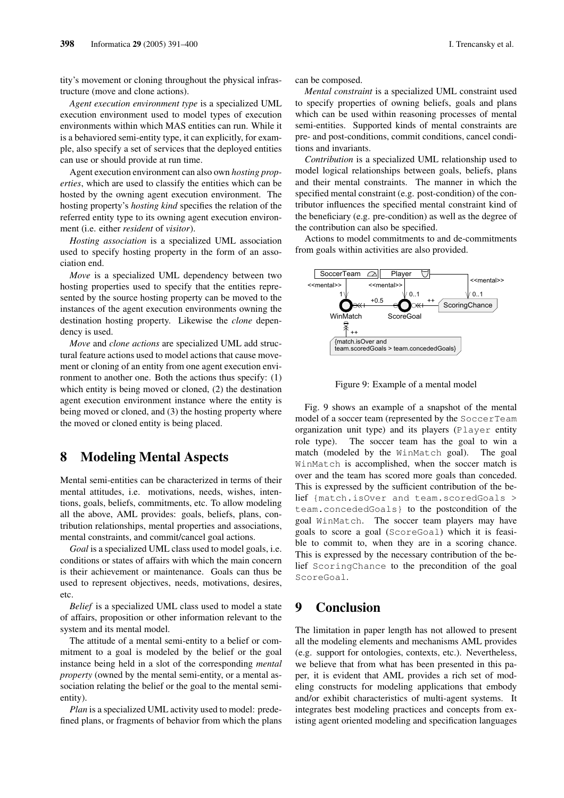tity's movement or cloning throughout the physical infrastructure (move and clone actions).

*Agent execution environment type* is a specialized UML execution environment used to model types of execution environments within which MAS entities can run. While it is a behaviored semi-entity type, it can explicitly, for example, also specify a set of services that the deployed entities can use or should provide at run time.

Agent execution environment can also own *hosting properties*, which are used to classify the entities which can be hosted by the owning agent execution environment. The hosting property's *hosting kind* specifies the relation of the referred entity type to its owning agent execution environment (i.e. either *resident* of *visitor*).

*Hosting association* is a specialized UML association used to specify hosting property in the form of an association end.

*Move* is a specialized UML dependency between two hosting properties used to specify that the entities represented by the source hosting property can be moved to the instances of the agent execution environments owning the destination hosting property. Likewise the *clone* dependency is used.

*Move* and *clone actions* are specialized UML add structural feature actions used to model actions that cause movement or cloning of an entity from one agent execution environment to another one. Both the actions thus specify: (1) which entity is being moved or cloned, (2) the destination agent execution environment instance where the entity is being moved or cloned, and (3) the hosting property where the moved or cloned entity is being placed.

### 8 Modeling Mental Aspects

Mental semi-entities can be characterized in terms of their mental attitudes, i.e. motivations, needs, wishes, intentions, goals, beliefs, commitments, etc. To allow modeling all the above, AML provides: goals, beliefs, plans, contribution relationships, mental properties and associations, mental constraints, and commit/cancel goal actions.

*Goal* is a specialized UML class used to model goals, i.e. conditions or states of affairs with which the main concern is their achievement or maintenance. Goals can thus be used to represent objectives, needs, motivations, desires, etc.

*Belief* is a specialized UML class used to model a state of affairs, proposition or other information relevant to the system and its mental model.

The attitude of a mental semi-entity to a belief or commitment to a goal is modeled by the belief or the goal instance being held in a slot of the corresponding *mental property* (owned by the mental semi-entity, or a mental association relating the belief or the goal to the mental semientity).

*Plan* is a specialized UML activity used to model: predefined plans, or fragments of behavior from which the plans can be composed.

*Mental constraint* is a specialized UML constraint used to specify properties of owning beliefs, goals and plans which can be used within reasoning processes of mental semi-entities. Supported kinds of mental constraints are pre- and post-conditions, commit conditions, cancel conditions and invariants.

*Contribution* is a specialized UML relationship used to model logical relationships between goals, beliefs, plans and their mental constraints. The manner in which the specified mental constraint (e.g. post-condition) of the contributor influences the specified mental constraint kind of the beneficiary (e.g. pre-condition) as well as the degree of the contribution can also be specified.

Actions to model commitments to and de-commitments from goals within activities are also provided.



Figure 9: Example of a mental model

Fig. 9 shows an example of a snapshot of the mental model of a soccer team (represented by the SoccerTeam organization unit type) and its players (Player entity role type). The soccer team has the goal to win a match (modeled by the WinMatch goal). The goal WinMatch is accomplished, when the soccer match is over and the team has scored more goals than conceded. This is expressed by the sufficient contribution of the belief {match.isOver and team.scoredGoals > team.concededGoals} to the postcondition of the goal WinMatch. The soccer team players may have goals to score a goal (ScoreGoal) which it is feasible to commit to, when they are in a scoring chance. This is expressed by the necessary contribution of the belief ScoringChance to the precondition of the goal ScoreGoal.

### 9 Conclusion

The limitation in paper length has not allowed to present all the modeling elements and mechanisms AML provides (e.g. support for ontologies, contexts, etc.). Nevertheless, we believe that from what has been presented in this paper, it is evident that AML provides a rich set of modeling constructs for modeling applications that embody and/or exhibit characteristics of multi-agent systems. It integrates best modeling practices and concepts from existing agent oriented modeling and specification languages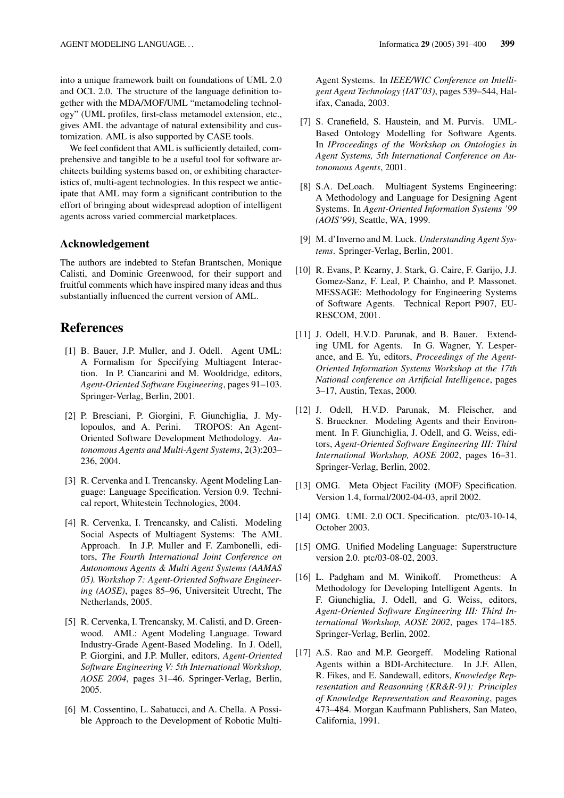into a unique framework built on foundations of UML 2.0 and OCL 2.0. The structure of the language definition together with the MDA/MOF/UML "metamodeling technology" (UML profiles, first-class metamodel extension, etc., gives AML the advantage of natural extensibility and customization. AML is also supported by CASE tools.

We feel confident that AML is sufficiently detailed, comprehensive and tangible to be a useful tool for software architects building systems based on, or exhibiting characteristics of, multi-agent technologies. In this respect we anticipate that AML may form a significant contribution to the effort of bringing about widespread adoption of intelligent agents across varied commercial marketplaces.

### Acknowledgement

The authors are indebted to Stefan Brantschen, Monique Calisti, and Dominic Greenwood, for their support and fruitful comments which have inspired many ideas and thus substantially influenced the current version of AML.

## References

- [1] B. Bauer, J.P. Muller, and J. Odell. Agent UML: A Formalism for Specifying Multiagent Interaction. In P. Ciancarini and M. Wooldridge, editors, *Agent-Oriented Software Engineering*, pages 91–103. Springer-Verlag, Berlin, 2001.
- [2] P. Bresciani, P. Giorgini, F. Giunchiglia, J. Mylopoulos, and A. Perini. TROPOS: An Agent-Oriented Software Development Methodology. *Autonomous Agents and Multi-Agent Systems*, 2(3):203– 236, 2004.
- [3] R. Cervenka and I. Trencansky. Agent Modeling Language: Language Specification. Version 0.9. Technical report, Whitestein Technologies, 2004.
- [4] R. Cervenka, I. Trencansky, and Calisti. Modeling Social Aspects of Multiagent Systems: The AML Approach. In J.P. Muller and F. Zambonelli, editors, *The Fourth International Joint Conference on Autonomous Agents & Multi Agent Systems (AAMAS 05). Workshop 7: Agent-Oriented Software Engineering (AOSE)*, pages 85–96, Universiteit Utrecht, The Netherlands, 2005.
- [5] R. Cervenka, I. Trencansky, M. Calisti, and D. Greenwood. AML: Agent Modeling Language. Toward Industry-Grade Agent-Based Modeling. In J. Odell, P. Giorgini, and J.P. Muller, editors, *Agent-Oriented Software Engineering V: 5th International Workshop, AOSE 2004*, pages 31–46. Springer-Verlag, Berlin, 2005.
- [6] M. Cossentino, L. Sabatucci, and A. Chella. A Possible Approach to the Development of Robotic Multi-

Agent Systems. In *IEEE/WIC Conference on Intelligent Agent Technology (IAT'03)*, pages 539–544, Halifax, Canada, 2003.

- [7] S. Cranefield, S. Haustein, and M. Purvis. UML-Based Ontology Modelling for Software Agents. In *IProceedings of the Workshop on Ontologies in Agent Systems, 5th International Conference on Autonomous Agents*, 2001.
- [8] S.A. DeLoach. Multiagent Systems Engineering: A Methodology and Language for Designing Agent Systems. In *Agent-Oriented Information Systems '99 (AOIS'99)*, Seattle, WA, 1999.
- [9] M. d'Inverno and M. Luck. *Understanding Agent Systems*. Springer-Verlag, Berlin, 2001.
- [10] R. Evans, P. Kearny, J. Stark, G. Caire, F. Garijo, J.J. Gomez-Sanz, F. Leal, P. Chainho, and P. Massonet. MESSAGE: Methodology for Engineering Systems of Software Agents. Technical Report P907, EU-RESCOM, 2001.
- [11] J. Odell, H.V.D. Parunak, and B. Bauer. Extending UML for Agents. In G. Wagner, Y. Lesperance, and E. Yu, editors, *Proceedings of the Agent-Oriented Information Systems Workshop at the 17th National conference on Artificial Intelligence*, pages 3–17, Austin, Texas, 2000.
- [12] J. Odell, H.V.D. Parunak, M. Fleischer, and S. Brueckner. Modeling Agents and their Environment. In F. Giunchiglia, J. Odell, and G. Weiss, editors, *Agent-Oriented Software Engineering III: Third International Workshop, AOSE 2002*, pages 16–31. Springer-Verlag, Berlin, 2002.
- [13] OMG. Meta Object Facility (MOF) Specification. Version 1.4, formal/2002-04-03, april 2002.
- [14] OMG. UML 2.0 OCL Specification. ptc/03-10-14, October 2003.
- [15] OMG. Unified Modeling Language: Superstructure version 2.0. ptc/03-08-02, 2003.
- [16] L. Padgham and M. Winikoff. Prometheus: A Methodology for Developing Intelligent Agents. In F. Giunchiglia, J. Odell, and G. Weiss, editors, *Agent-Oriented Software Engineering III: Third International Workshop, AOSE 2002*, pages 174–185. Springer-Verlag, Berlin, 2002.
- [17] A.S. Rao and M.P. Georgeff. Modeling Rational Agents within a BDI-Architecture. In J.F. Allen, R. Fikes, and E. Sandewall, editors, *Knowledge Representation and Reasonning (KR&R-91): Principles of Knowledge Representation and Reasoning*, pages 473–484. Morgan Kaufmann Publishers, San Mateo, California, 1991.